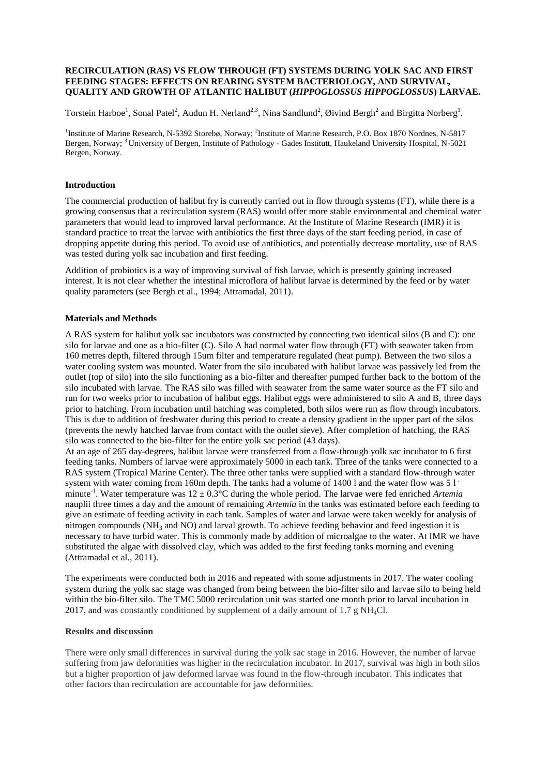# **RECIRCULATION (RAS) VS FLOW THROUGH (FT) SYSTEMS DURING YOLK SAC AND FIRST FEEDING STAGES: EFFECTS ON REARING SYSTEM BACTERIOLOGY, AND SURVIVAL, QUALITY AND GROWTH OF ATLANTIC HALIBUT (***HIPPOGLOSSUS HIPPOGLOSSUS***) LARVAE.**

Torstein Harboe<sup>1</sup>, Sonal Patel<sup>2</sup>, Audun H. Nerland<sup>2,3</sup>, Nina Sandlund<sup>2</sup>, Øivind Bergh<sup>2</sup> and Birgitta Norberg<sup>1</sup>.

<sup>1</sup>Institute of Marine Research, N-5392 Storebø, Norway; <sup>2</sup>Institute of Marine Research, P.O. Box 1870 Nordnes, N-5817 Bergen, Norway; <sup>3</sup> University of Bergen, Institute of Pathology - Gades Institutt, Haukeland University Hospital, N-5021 Bergen, Norway.

# **Introduction**

The commercial production of halibut fry is currently carried out in flow through systems (FT), while there is a growing consensus that a recirculation system (RAS) would offer more stable environmental and chemical water parameters that would lead to improved larval performance. At the Institute of Marine Research (IMR) it is standard practice to treat the larvae with antibiotics the first three days of the start feeding period, in case of dropping appetite during this period. To avoid use of antibiotics, and potentially decrease mortality, use of RAS was tested during yolk sac incubation and first feeding.

Addition of probiotics is a way of improving survival of fish larvae, which is presently gaining increased interest. It is not clear whether the intestinal microflora of halibut larvae is determined by the feed or by water quality parameters (see Bergh et al., 1994; Attramadal, 2011).

# **Materials and Methods**

A RAS system for halibut yolk sac incubators was constructed by connecting two identical silos (B and C): one silo for larvae and one as a bio-filter (C). Silo A had normal water flow through (FT) with seawater taken from 160 metres depth, filtered through 15um filter and temperature regulated (heat pump). Between the two silos a water cooling system was mounted. Water from the silo incubated with halibut larvae was passively led from the outlet (top of silo) into the silo functioning as a bio-filter and thereafter pumped further back to the bottom of the silo incubated with larvae. The RAS silo was filled with seawater from the same water source as the FT silo and run for two weeks prior to incubation of halibut eggs. Halibut eggs were administered to silo A and B, three days prior to hatching. From incubation until hatching was completed, both silos were run as flow through incubators. This is due to addition of freshwater during this period to create a density gradient in the upper part of the silos (prevents the newly hatched larvae from contact with the outlet sieve). After completion of hatching, the RAS silo was connected to the bio-filter for the entire yolk sac period (43 days).

At an age of 265 day-degrees, halibut larvae were transferred from a flow-through yolk sac incubator to 6 first feeding tanks. Numbers of larvae were approximately 5000 in each tank. Three of the tanks were connected to a RAS system (Tropical Marine Center). The three other tanks were supplied with a standard flow-through water system with water coming from 160m depth. The tanks had a volume of 1400 l and the water flow was 5 l minute<sup>-1</sup>. Water temperature was  $12 \pm 0.3^{\circ}$ C during the whole period. The larvae were fed enriched *Artemia* nauplii three times a day and the amount of remaining *Artemia* in the tanks was estimated before each feeding to give an estimate of feeding activity in each tank. Samples of water and larvae were taken weekly for analysis of nitrogen compounds ( $NH_3$  and  $NO$ ) and larval growth. To achieve feeding behavior and feed ingestion it is necessary to have turbid water. This is commonly made by addition of microalgae to the water. At IMR we have substituted the algae with dissolved clay, which was added to the first feeding tanks morning and evening (Attramadal et al., 2011).

The experiments were conducted both in 2016 and repeated with some adjustments in 2017. The water cooling system during the yolk sac stage was changed from being between the bio-filter silo and larvae silo to being held within the bio-filter silo. The TMC 5000 recirculation unit was started one month prior to larval incubation in 2017, and was constantly conditioned by supplement of a daily amount of 1.7 g NH4Cl.

# **Results and discussion**

There were only small differences in survival during the yolk sac stage in 2016. However, the number of larvae suffering from jaw deformities was higher in the recirculation incubator. In 2017, survival was high in both silos but a higher proportion of jaw deformed larvae was found in the flow-through incubator. This indicates that other factors than recirculation are accountable for jaw deformities.